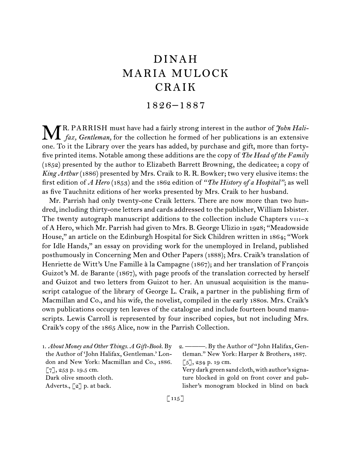# DINAH MARIA MULOCK CRAIK

# 1826–1887

R. PARRISH must have had a fairly strong interest in the author of *John Hali***fax, Gentleman, for the collection he formed of her publications is an extensive**  $\mathbf{M}$  *fax, Gentleman,* for the collection he formed of her publications is an extensive one. To it the Library over the years has added, by purchase and gift, more than fortyfive printed items. Notable among these additions are the copy of *The Head of the Family*  (1852) presented by the author to Elizabeth Barrett Browning, the dedicatee; a copy of *King Arthur* (1886) presented by Mrs. Craik to R. R. Bowker; two very elusive items: the first edition of *A Hero* (1853) and the 1862 edition of *"The History of a Hospital"*; as well as five Tauchnitz editions of her works presented by Mrs. Craik to her husband.

Mr. Parrish had only twenty-one Craik letters. There are now more than two hundred, including thirty-one letters and cards addressed to the publisher, William Isbister. The twenty autograph manuscript additions to the collection include Chapters  $v_{111}-x$ of A Hero, which Mr. Parrish had given to Mrs. B. George Ulizio in 1928; "Meadowside House," an article on the Edinburgh Hospital for Sick Children written in 1864; "Work for Idle Hands," an essay on providing work for the unemployed in Ireland, published posthumously in Concerning Men and Other Papers (1888); Mrs. Craik's translation of Henriette de Witt's Une Famille à la Campagne (1867); and her translation of François Guizot's M. de Barante (1867), with page proofs of the translation corrected by herself and Guizot and two letters from Guizot to her. An unusual acquisition is the manuscript catalogue of the library of George L. Craik, a partner in the publishing firm of Macmillan and Co., and his wife, the novelist, compiled in the early 1880s. Mrs. Craik's own publications occupy ten leaves of the catalogue and include fourteen bound manuscripts. Lewis Carroll is represented by four inscribed copies, but not including Mrs. Craik's copy of the 1865 Alice, now in the Parrish Collection.

1.  *About Money and Other Things. A Gift-Book.* By the Author of 'John Halifax, Gentleman.' London and New York: Macmillan and Co., 1886. [7], 253 p. 19.5 cm. Dark olive smooth cloth. Adverts., [2] p. at back.

2.  ———. By the Author of "John Halifax, Gentleman." New York: Harper & Brothers, 1887.  $[5]$ , 234 p. 19 cm.

Very dark green sand cloth, with author's signature blocked in gold on front cover and publisher's monogram blocked in blind on back

 $\lceil 115 \rceil$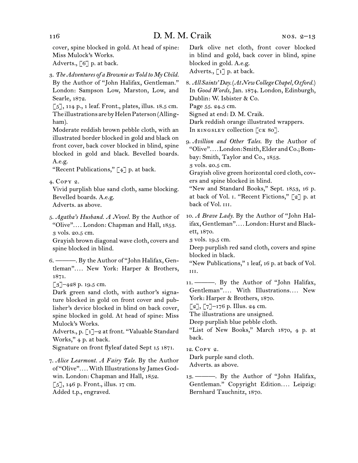cover, spine blocked in gold. At head of spine: Miss Mulock's Works. Adverts.,  $\lceil 6 \rceil$  p. at back.

3.  *The Adventures of a Brownie as Told to My Child.*

By the Author of "John Halifax, Gentleman." London: Sampson Low, Marston, Low, and Searle, 1872.

 $\lceil 5 \rceil$ , 114 p., 1 leaf. Front., plates, illus. 18.5 cm. The illustrations are by Helen Paterson (Allingham).

Moderate reddish brown pebble cloth, with an illustrated border blocked in gold and black on front cover, back cover blocked in blind, spine blocked in gold and black. Bevelled boards. A.e.g.

"Recent Publications,"  $[4]$  p. at back.

4.  Copy 2.

Vivid purplish blue sand cloth, same blocking. Bevelled boards. A.e.g.

Adverts. as above.

5.  *Agatha's Husband. A Novel.* By the Author of "Olive"*. . . .* London: Chapman and Hall, 1853. 3 vols. 20.5 cm.

Grayish brown diagonal wave cloth, covers and spine blocked in blind.

6.  ———. By the Author of "John Halifax, Gentleman"*. . . .* New York: Harper & Brothers, 1871.

 $\lceil 3 \rceil$ –428 p. 19.5 cm.

Dark green sand cloth, with author's signature blocked in gold on front cover and publisher's device blocked in blind on back cover, spine blocked in gold. At head of spine: Miss Mulock's Works.

Adverts., p. [1]–2 at front. "Valuable Standard Works," 4 p. at back.

Signature on front flyleaf dated Sept 15 1871.

7.  *Alice Learmont. A Fairy Tale.* By the Author of "Olive"*. . . .*With Illustrations by James Godwin. London: Chapman and Hall, 1852.  $\lceil 5 \rceil$ , 146 p. Front., illus. 17 cm. Added t.p., engraved.

Dark olive net cloth, front cover blocked in blind and gold, back cover in blind, spine blocked in gold. A.e.g.

Adverts.,  $\lceil 1 \rceil$  p. at back.

8.  *All Saints' Day.*(*At New College Chapel, Oxford.*) In *Good Words,* Jan. 1874. London, Edinburgh, Dublin: W. Isbister & Co. Page 55. 24.5 cm.

Signed at end: D. M. Craik.

Dark reddish orange illustrated wrappers.

In KINGSLEY collection [CK 80].

9.  *Avillion and Other Tales.* By the Author of "Olive"*. . . .*London: Smith,Elder andCo.;Bombay: Smith, Taylor and Co., 1853.

3 vols. 20.5 cm.

Grayish olive green horizontal cord cloth, covers and spine blocked in blind.

"New and Standard Books," Sept. 1853, 16 p. at back of Vol. i. "Recent Fictions," [2] p. at back of Vol. III.

10.  *A Brave Lady.* By the Author of "John Halifax, Gentleman"*. . . .* London: Hurst and Blackett, 1870.

3 vols. 19.5 cm.

Deep purplish red sand cloth, covers and spine blocked in black.

"New Publications," 1 leaf, 16 p. at back of Vol. iii.

11. ---- By the Author of "John Halifax, Gentleman"*. . . .* With Illustrations*. . . .* New York: Harper & Brothers, 1870.

 $[2]$ ,  $[7]$ –176 p. Illus. 24 cm.

The illustrations are unsigned.

Deep purplish blue pebble cloth.

"List of New Books," March 1870, 4 p. at back.

12.  Copy 2.

Dark purple sand cloth. Adverts. as above.

13.  ———. By the Author of "John Halifax, Gentleman." Copyright Edition.... Leipzig: Bernhard Tauchnitz, 1870.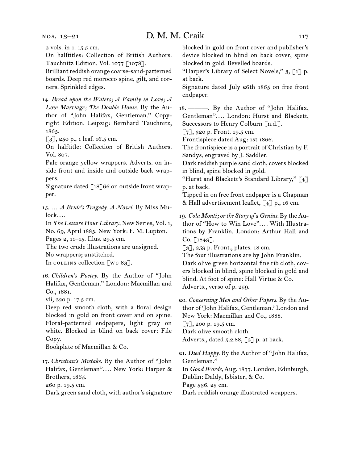#### nos. 13–21

# D. M. M. Craik 117

2 vols. in 1. 15.5 cm.

On halftitles: Collection of British Authors. Tauchnitz Edition. Vol. 1077 [1078].

Brilliant reddish orange coarse-sand-patterned boards. Deep red morocco spine, gilt, and corners. Sprinkled edges.

14.  *Bread upon the Waters; A Family in Love; A Low Marriage; The Double House.* By the Author of "John Halifax, Gentleman." Copyright Edition. Leipzig: Bernhard Tauchnitz, 1865.

[3], 250 p., 1 leaf. 16.5 cm.

On halftitle: Collection of British Authors. Vol. 807.

Pale orange yellow wrappers. Adverts. on inside front and inside and outside back wrappers.

Signature dated  $\lceil 18 \rceil 66$  on outside front wrapper.

15.  … *A Bride's Tragedy. A Novel.* By Miss Mulock*. . . .*

In *The Leisure Hour Library,* New Series, Vol. 1, No. 69, April 1885. New York: F. M. Lupton. Pages 2, 11–15. Illus. 29.5 cm.

The two crude illustrations are unsigned.

No wrappers; unstitched.

In collins collection  $\lbrack \text{wc } 8g \rbrack$ .

16.  *Children's Poetry.* By the Author of "John Halifax, Gentleman." London: Macmillan and Co., 1881.

vii, 220 p. 17.5 cm.

Deep red smooth cloth, with a floral design blocked in gold on front cover and on spine. Floral-patterned endpapers, light gray on white. Blocked in blind on back cover: File Copy.

Bookplate of Macmillan & Co.

17.  *Christian's Mistake.* By the Author of "John Halifax, Gentleman"*. . . .* New York: Harper & Brothers, 1865.

260 p. 19.5 cm.

Dark green sand cloth, with author's signature

blocked in gold on front cover and publisher's device blocked in blind on back cover, spine blocked in gold. Bevelled boards.

"Harper's Library of Select Novels,"  $3, \lceil 1 \rceil$  p. at back.

Signature dated July 26th 1865 on free front endpaper.

18.  ———. By the Author of "John Halifax, Gentleman"*. . . .* London: Hurst and Blackett, Successors to Henry Colburn [n.d.].

[7], 320 p. Front. 19.5 cm.

Frontispiece dated Aug: 1st 1866.

The frontispiece is a portrait of Christian by F. Sandys, engraved by J. Saddler.

Dark reddish purple sand cloth, covers blocked in blind, spine blocked in gold.

"Hurst and Blackett's Standard Library," [4] p. at back.

Tipped in on free front endpaper is a Chapman & Hall advertisement leaflet,  $\lceil 4 \rceil$  p., 16 cm.

19.  *Cola Monti; or the Story of a Genius.* By the Author of "How to Win Love"*. . . .* With Illustrations by Franklin. London: Arthur Hall and  $Co. [1849].$ 

[3], 259 p. Front., plates. 18 cm.

The four illustrations are by John Franklin. Dark olive green horizontal fine rib cloth, covers blocked in blind, spine blocked in gold and blind. At foot of spine: Hall Virtue & Co. Adverts., verso of p. 259.

20.  *Concerning Men and Other Papers.* By the Author of 'John Halifax, Gentleman.' London and

New York: Macmillan and Co., 1888.

[7], 200 p. 19.5 cm.

Dark olive smooth cloth.

Adverts., dated  $5.2.88$ ,  $\lbrack 2 \rbrack$  p. at back.

21.  *Died Happy.* By the Author of "John Halifax, Gentleman."

In *Good Words,* Aug. 1877. London, Edinburgh, Dublin: Daldy, Isbister, & Co.

Page 536. 25 cm.

Dark reddish orange illustrated wrappers.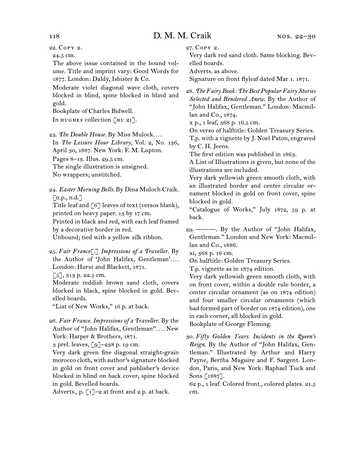22.  Copy 2.

24.5 cm.

The above issue contained in the bound volume. Title and imprint vary: Good Words for 1877. London: Daldy, Isbister & Co.

Moderate violet diagonal wave cloth, covers blocked in blind, spine blocked in blind and gold.

Bookplate of Charles Bidwell.

In HUGHES collection [HU 21].

23.  *The Double House.* By Miss Mulock*. . . .*

In *The Leisure Hour Library,* Vol. 2, No. 136, April 30, 1887. New York: F. M. Lupton.

Pages 8–13. Illus. 29.5 cm.

The single illustration is unsigned.

No wrappers; unstitched.

24.  *Easter Morning Bells.* By Dina Muloch Craik.  $\lceil$ n.p., n.d. $\lceil$ 

Title leaf and [6] leaves of text (versos blank), printed on heavy paper. 13 by 17 cm.

Printed in black and red, with each leaf framed by a decorative border in red.

Unbound; tied with a yellow silk ribbon.

25.  *Fair France*[.] *Impressions of a Traveller.* By the Author of 'John Halifax, Gentleman'*. . . .*  London: Hurst and Blackett, 1871.

 $\lceil 5 \rceil$ , 313 p. 22.5 cm.

Moderate reddish brown sand cloth, covers blocked in black, spine blocked in gold. Bevelled boards.

"List of New Works," 16 p. at back.

26.  *Fair France. Impressions of a Traveller.* By the Author of "John Halifax, Gentleman"*. . . .* New York: Harper & Brothers, 1871.

3 prel. leaves, [9]–238 p. 19 cm.

Very dark green fine diagonal straight-grain morocco cloth, with author's signature blocked in gold on front cover and publisher's device blocked in blind on back cover, spine blocked in gold. Bevelled boards.

Adverts., p.  $\lceil 1 \rceil$ -2 at front and 2 p. at back.

27.  Copy 2.

Very dark red sand cloth. Same blocking. Bevelled boards.

Adverts. as above.

Signature on front flyleaf dated Mar 1. 1871.

28.  *The Fairy Book: The Best Popular Fairy Stories Selected and Rendered Anew.* By the Author of "John Halifax, Gentleman." London: Macmillan and Co., 1874.

x p., 1 leaf, 368 p. 16.5 cm.

On verso of halftitle: Golden Treasury Series. T.p. with a vignette by J. Noel Paton, engraved by C. H. Jeens.

The first edition was published in 1863.

A List of Illustrations is given, but none of the illustrations are included.

Very dark yellowish green smooth cloth, with an illustrated border and center circular ornament blocked in gold on front cover, spine blocked in gold.

"Catalogue of Works," July 1872, 59 p. at back.

29.  ———. By the Author of "John Halifax, Gentleman." London and New York: Macmillan and Co., 1886.

xi, 368 p. 16 cm.

On halftitle: Golden Treasury Series.

T.p. vignette as in 1874 edition.

Very dark yellowish green smooth cloth, with on front cover, within a double rule border, a center circular ornament (as on 1874 edition) and four smaller circular ornaments (which had formed part of border on 1874 edition), one in each corner, all blocked in gold.

Bookplate of George Fleming.

30.  *Fifty Golden Years. Incidents in the Queen's Reign.* By the Author of "John Halifax, Gentleman." Illustrated by Arthur and Harry Payne, Bertha Maguire and F. Sargent. London, Paris, and New York: Raphael Tuck and Sons [1887].

62 p., 1 leaf. Colored front., colored plates. 21.5 cm.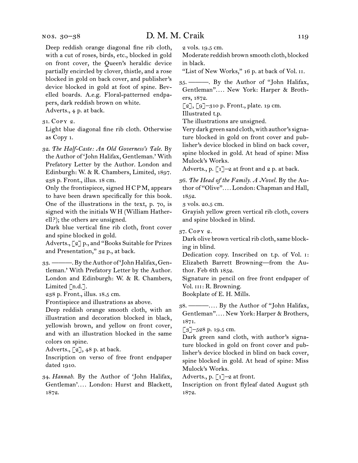Deep reddish orange diagonal fine rib cloth, with a cut of roses, birds, etc., blocked in gold on front cover, the Queen's heraldic device partially encircled by clover, thistle, and a rose blocked in gold on back cover, and publisher's device blocked in gold at foot of spine. Bevelled boards. A.e.g. Floral-patterned endpapers, dark reddish brown on white.

Adverts., 4 p. at back.

31.  Copy 2.

Light blue diagonal fine rib cloth. Otherwise as Copy 1.

32.  *The Half-Caste: An Old Governess's Tale.* By the Author of 'John Halifax, Gentleman.' With Prefatory Letter by the Author. London and Edinburgh: W. & R. Chambers, Limited, 1897. 238 p. Front., illus. 18 cm.

Only the frontispiece, signed H C P M, appears to have been drawn specifically for this book. One of the illustrations in the text, p. 70, is signed with the initials W H (William Hatherell?); the others are unsigned.

Dark blue vertical fine rib cloth, front cover and spine blocked in gold.

Adverts., [2] p., and "Books Suitable for Prizes and Presentation," 32 p., at back.

33.  ———.By theAuthor of 'JohnHalifax,Gentleman.' With Prefatory Letter by the Author. London and Edinburgh: W. & R. Chambers, Limited [n.d.].

238 p. Front., illus. 18.5 cm.

Frontispiece and illustrations as above.

Deep reddish orange smooth cloth, with an illustration and decoration blocked in black, yellowish brown, and yellow on front cover, and with an illustration blocked in the same colors on spine.

Adverts.,  $\lbrack 2 \rbrack$ , 48 p. at back.

Inscription on verso of free front endpaper dated 1910.

34.  *Hannah.* By the Author of 'John Halifax, Gentleman'*. . . .* London: Hurst and Blackett, 1872.

2 vols. 19.5 cm.

Moderate reddish brown smooth cloth, blocked in black.

"List of New Works," 16 p. at back of Vol. II.

35.  ———. By the Author of "John Halifax, Gentleman"*. . . .* New York: Harper & Brothers, 1872.

[2], [9]–310 p. Front., plate. 19 cm.

Illustrated t.p.

The illustrations are unsigned.

Very dark green sand cloth, with author's signature blocked in gold on front cover and publisher's device blocked in blind on back cover, spine blocked in gold. At head of spine: Miss Mulock's Works.

Adverts., p.  $\lceil 1 \rceil$ -2 at front and 2 p. at back.

36.  *The Head of the Family. A Novel.* By the Author of "Olive"*. . . .* London: Chapman and Hall, 1852.

3 vols. 20.5 cm.

Grayish yellow green vertical rib cloth, covers and spine blocked in blind.

37.  Copy 2.

Dark olive brown vertical rib cloth, same blocking in blind.

Dedication copy. Inscribed on t.p. of Vol. i: Elizabeth Barrett Browning—from the Author. Feb 6th 1852.

Signature in pencil on free front endpaper of Vol. III: R. Browning.

Bookplate of E. H. Mills.

38.  ———*. . . .* By the Author of "John Halifax, Gentleman"*. . . .* New York: Harper & Brothers, 1871.

 $\lceil 3 \rceil$ –528 p. 19.5 cm.

Dark green sand cloth, with author's signature blocked in gold on front cover and publisher's device blocked in blind on back cover, spine blocked in gold. At head of spine: Miss Mulock's Works.

Adverts., p.  $\lceil 1 \rceil$ –2 at front.

Inscription on front flyleaf dated August 9th 1872.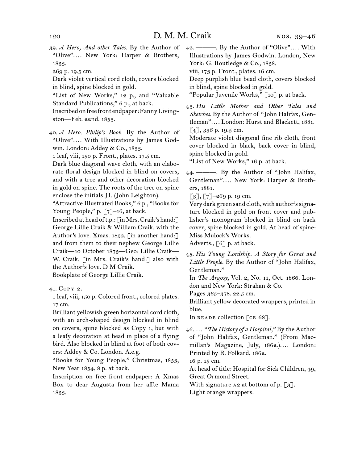39.  *A Hero, And other Tales.* By the Author of "Olive"*. . . .* New York: Harper & Brothers, 1853.

269 p. 19.5 cm.

Dark violet vertical cord cloth, covers blocked in blind, spine blocked in gold.

"List of New Works," 12 p., and "Valuable Standard Publications," 6 p., at back.

Inscribedonfree front endpaper:FannyLivingston—Feb. 22nd. 1853.

40.  *A Hero. Philip's Book.* By the Author of "Olive"*. . . .* With Illustrations by James Godwin. London: Addey & Co., 1853.

1 leaf, viii, 150 p. Front., plates. 17.5 cm.

Dark blue diagonal wave cloth, with an elaborate floral design blocked in blind on covers, and with a tree and other decoration blocked in gold on spine. The roots of the tree on spine enclose the initials JL (John Leighton).

"Attractive Illustrated Books," 6 p., "Books for Young People," p. [7]-16, at back.

Inscribed at head oft.p.: [inMrs.Craik's hand:] George Lillie Craik & William Craik. with the Author's love. Xmas. 1852. [in another hand:] and from them to their nephew George Lillie Craik—10 October 1875—Geo: Lillie Craik— W. Craik. [in Mrs. Craik's hand:] also with the Author's love. D M Craik.

Bookplate of George Lillie Craik.

41.  Copy 2.

1 leaf, viii, 150 p. Colored front., colored plates. 17 cm.

Brilliant yellowish green horizontal cord cloth, with an arch-shaped design blocked in blind on covers, spine blocked as Copy 1, but with a leafy decoration at head in place of a flying bird. Also blocked in blind at foot of both covers: Addey & Co. London. A.e.g.

"Books for Young People," Christmas, 1853, New Year 1854, 8 p. at back.

Inscription on free front endpaper: A Xmas Box to dear Augusta from her affte Mama 1853.

42.  ———. By the Author of "Olive"*. . . .* With Illustrations by James Godwin. London, New York: G. Routledge & Co., 1858.

viii, 173 p. Front., plates. 16 cm.

Deep purplish blue bead cloth, covers blocked in blind, spine blocked in gold.

"Popular Juvenile Works," [10] p. at back.

43.  *His Little Mother and Other Tales and Sketches.* By the Author of  "John Halifax, Gentleman"*. . . .* London: Hurst and Blackett, 1881.  $[4]$ , 336 p. 19.5 cm.

Moderate violet diagonal fine rib cloth, front cover blocked in black, back cover in blind, spine blocked in gold.

"List of New Works," 16 p. at back.

44.  ———. By the Author of "John Halifax, Gentleman"*. . . .* New York: Harper & Brothers, 1881.

 $\lceil 3 \rceil$ ,  $\lceil 7 \rceil$ -269 p. 19 cm.

Very dark green sand cloth, with author's signature blocked in gold on front cover and publisher's monogram blocked in blind on back cover, spine blocked in gold. At head of spine: Miss Mulock's Works.

Adverts.,  $\lceil 6 \rceil$  p. at back.

45.  *His Young Lordship. A Story for Great and Little People.* By the Author of "John Halifax, Gentleman."

In *The Argosy,* Vol. 2, No. 11, Oct. 1866. London and New York: Strahan & Co.

Pages 365–378. 22.5 cm.

Brilliant yellow decorated wrappers, printed in blue.

In READE collection [CR 68].

46.  … *"The History of a Hospital,"* By the Author of "John Halifax, Gentleman." (From Macmillan's Magazine, July, 1862.).... London: Printed by R. Folkard, 1862.

16 p. 15 cm.

At head of title: Hospital for Sick Children, 49, Great Ormond Street.

With signature  $A_2$  at bottom of p. [3].

Light orange wrappers.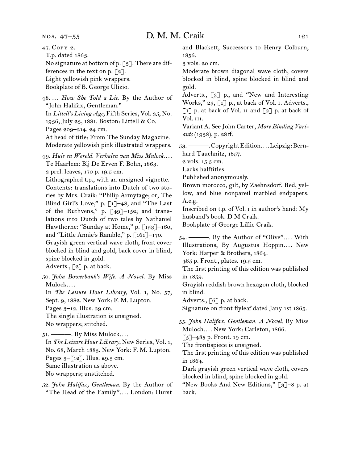47.  Copy 2. T.p. dated 1863. No signature at bottom of p. [3]. There are differences in the text on p.  $\lceil 2 \rceil$ . Light yellowish pink wrappers. Bookplate of B. George Ulizio. 48.  … *How She Told a Lie.* By the Author of "John Halifax, Gentleman." In *Littell's Living Age,* Fifth Series, Vol. 35, No. 1936, July 23, 1881. Boston: Littell & Co. Pages 209–214. 24 cm. At head of title: From The Sunday Magazine. Moderate yellowish pink illustrated wrappers. 49.  *Huis en Wereld. Verhalen van Miss Mulock. . . .* Te Haarlem: Bij De Erven F. Bohn, 1863. 3 prel. leaves, 170 p. 19.5 cm. Lithographed t.p., with an unsigned vignette. Contents: translations into Dutch of two stories by Mrs. Craik: "Philip Armytage; or, The Blind Girl's Love," p. [1]–48, and "The Last of the Ruthvens," p.  $[49]$ -152; and translations into Dutch of two tales by Nathaniel Hawthorne: "Sunday at Home," p. [153]-160, and "Little Annie's Ramble," p. [161]–170. Grayish green vertical wave cloth, front cover blocked in blind and gold, back cover in blind, spine blocked in gold. Adverts., [2] p. at back. 50.  *John Bowerbank's Wife. A Novel.* By Miss Mulock*. . . .* In *The Leisure Hour Library,* Vol. 1, No. 57, Sept. 9, 1882. New York: F. M. Lupton. Pages  $3-12$ . Illus. 29 cm. The single illustration is unsigned. No wrappers; stitched. 51.  ———. By Miss Mulock*. . . .* In *The Leisure Hour Library,* New Series, Vol. 1, No. 68, March 1885. New York: F. M. Lupton. Pages  $3-[12]$ . Illus. 29.5 cm. Same illustration as above. No wrappers; unstitched. 1856. 3 vols. 20 cm. gold. Vol. iii. A.e.g. in 1859. in blind. in 1864.

52.  *John Halifax, Gentleman.* By the Author of "The Head of the Family"*. . . .* London: Hurst

and Blackett, Successors to Henry Colburn,

Moderate brown diagonal wave cloth, covers blocked in blind, spine blocked in blind and

Adverts., [3] p., and "New and Interesting Works," 23, [1] p., at back of Vol. i. Adverts.,  $\lceil 1 \rceil$  p. at back of Vol. II and  $\lceil 2 \rceil$  p. at back of

Variant A. See John Carter, *More Binding Variants* (1938), p. 28 ff.

53.  ———.CopyrightEdition*. . . .*Leipzig:Bernhard Tauchnitz, 1857.

2 vols. 15.5 cm.

Lacks halftitles.

Published anonymously.

Brown morocco, gilt, by Zaehnsdorf. Red, yellow, and blue nonpareil marbled endpapers.

Inscribed on t.p. of Vol. i in author's hand: My husband's book. D M Craik.

Bookplate of George Lillie Craik.

54.  ———. By the Author of "Olive"*. . . .* With Illustrations, By Augustus Hoppin.... New York: Harper & Brothers, 1864.

485 p. Front., plates. 19.5 cm.

The first printing of this edition was published

Grayish reddish brown hexagon cloth, blocked

Adverts.,  $\lceil 6 \rceil$  p. at back.

Signature on front flyleaf dated Jany 1st 1865.

55.  *John Halifax, Gentleman. A Novel.* By Miss Muloch*. . . .* New York: Carleton, 1866.

 $\lceil 5 \rceil$ –485 p. Front. 19 cm.

The frontispiece is unsigned.

The first printing of this edition was published

Dark grayish green vertical wave cloth, covers blocked in blind, spine blocked in gold.

"New Books And New Editions," [3]–8 p. at back.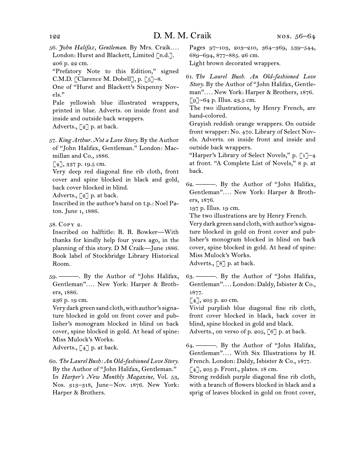- 56.  *John Halifax, Gentleman.* By Mrs. Craik*. . . .* London: Hurst and Blackett, Limited [n.d.]. 206 p. 22 cm.
- "Prefatory Note to this Edition," signed C.M.D. [Clarence M. Dobell], p.  $\lceil 5 \rceil$ -8.
- One of "Hurst and Blackett's Sixpenny Novels."

Pale yellowish blue illustrated wrappers, printed in blue. Adverts. on inside front and inside and outside back wrappers. Adverts., [2] p. at back.

57.  *King Arthur. Not a Love Story.* By the Author of "John Halifax, Gentleman." London: Macmillan and Co., 1886.

[4], 337 p. 19.5 cm.

Very deep red diagonal fine rib cloth, front cover and spine blocked in black and gold, back cover blocked in blind.

Adverts.,  $\lceil 2 \rceil$  p. at back.

Inscribed in the author's hand on t.p.: Noel Paton. June 1, 1886.

58.  Copy 2.

Inscribed on halftitle: R. R. Bowker—With thanks for kindly help four years ago, in the planning of this story. D M Craik—June 1886. Book label of Stockbridge Library Historical Room.

59.  ———. By the Author of "John Halifax, Gentleman"*. . . .* New York: Harper & Brothers, 1886.

236 p. 19 cm.

Very dark green sand cloth, with author's signature blocked in gold on front cover and publisher's monogram blocked in blind on back cover, spine blocked in gold. At head of spine: Miss Mulock's Works.

Adverts.,  $\lceil 4 \rceil$  p. at back.

60.  *The Laurel Bush: An Old-fashioned Love Story.* By the Author of "John Halifax, Gentleman." In *Harper's New Monthly Magazine,* Vol. 53, Nos. 313–318, June – Nov. 1876. New York: Harper & Brothers.

Pages 97–103, 203–210, 364–369, 539–544, 689–694, 877–885. 26 cm.

Light brown decorated wrappers.

61.  *The Laurel Bush. An Old-fashioned Love Story.* By the Author of "John Halifax, Gentleman"*. . . .* New York: Harper & Brothers, 1876.  $\lceil 9 \rceil$ –64 p. Illus. 23.5 cm.

The two illustrations, by Henry French, are hand-colored.

Grayish reddish orange wrappers. On outside front wrapper: No. 470. Library of Select Novels. Adverts. on inside front and inside and outside back wrappers.

"Harper's Library of Select Novels," p.  $\lceil 1 \rceil$ -4 at front. "A Complete List of Novels," 8 p. at back.

62.  ———. By the Author of "John Halifax, Gentleman"*. . . .* New York: Harper & Brothers, 1876.

197 p. Illus. 19 cm.

The two illustrations are by Henry French.

Very dark green sand cloth, with author's signature blocked in gold on front cover and publisher's monogram blocked in blind on back cover, spine blocked in gold. At head of spine: Miss Mulock's Works.

Adverts., [8] p. at back.

63.  ———. By the Author of "John Halifax, Gentleman"*. . . .* London: Daldy, Isbister & Co., 1877.

 $[4]$ , 205 p. 20 cm.

Vivid purplish blue diagonal fine rib cloth, front cover blocked in black, back cover in blind, spine blocked in gold and black.

Adverts., on verso of p. 205, [6] p. at back.

64.  ———. By the Author of "John Halifax, Gentleman"*. . . .* With Six Illustrations by H. French. London: Daldy, Isbister & Co., 1877. [4], 205 p. Front., plates. 18 cm.

Strong reddish purple diagonal fine rib cloth, with a branch of flowers blocked in black and a sprig of leaves blocked in gold on front cover,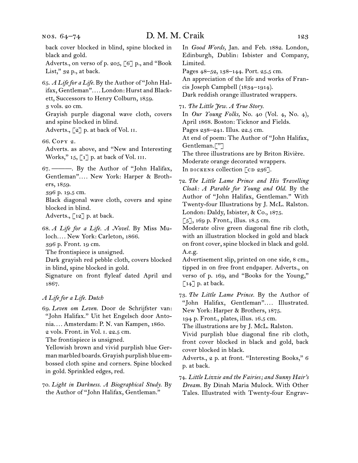back cover blocked in blind, spine blocked in black and gold.

Adverts., on verso of p. 205, [6] p., and "Book List," 32 p., at back.

65.  *A Life for a Life.* By the Author of "John Halifax, Gentleman"*. . . .* London: Hurst and Blackett, Successors to Henry Colburn, 1859. 3 vols. 20 cm.

Grayish purple diagonal wave cloth, covers and spine blocked in blind.

Adverts., [2] p. at back of Vol. II.

66.  Copy 2.

Adverts. as above, and "New and Interesting Works," 15, [1] p. at back of Vol. III.

67.  ———. By the Author of "John Halifax, Gentleman"*. . . .* New York: Harper & Brothers, 1859.

396 p. 19.5 cm.

Black diagonal wave cloth, covers and spine blocked in blind.

Adverts.,  $\lceil 12 \rceil$  p. at back.

68.  *A Life for a Life. A Novel.* By Miss Muloch*. . . .* New York: Carleton, 1866. 396 p. Front. 19 cm.

The frontispiece is unsigned.

Dark grayish red pebble cloth, covers blocked in blind, spine blocked in gold.

Signature on front flyleaf dated April 2nd 1867.

#### *A Life for a Life. Dutch*

69.  *Leven om Leven.* Door de Schrijfster van: "John Halifax." Uit het Engelsch door Antonia*. . . .* Amsterdam: P. N. van Kampen, 1860. 2 vols. Front. in Vol. i. 22.5 cm.

The frontispiece is unsigned.

Yellowish brown and vivid purplish blue Germanmarbled boards.Grayish purplish blue embossed cloth spine and corners. Spine blocked in gold. Sprinkled edges, red.

70.  *Light in Darkness. A Biographical Study.* By the Author of "John Halifax, Gentleman."

In *Good Words,* Jan. and Feb. 1882. London, Edinburgh, Dublin: Isbister and Company, Limited.

Pages 48–52, 138–144. Port. 25.5 cm.

An appreciation of the life and works of Francis Joseph Campbell (1834–1914).

Dark reddish orange illustrated wrappers.

71.  *The Little Jew. A True Story.*

In *Our Young Folks,* No. 40 (Vol. 4, No. 4), April 1868. Boston: Ticknor and Fields. Pages 238–241. Illus. 22.5 cm. At end of poem: The Author of "John Halifax, Gentleman.["] The three illustrations are by Briton Rivière. Moderate orange decorated wrappers. In DICKENS collection  $[CD 236]$ .

72.  *The Little Lame Prince and His Travelling Cloak: A Parable for Young and Old.* By the Author of "John Halifax, Gentleman." With Twenty-four Illustrations by J. McL. Ralston. London: Daldy, Isbister, & Co., 1875.

 $\lceil 5 \rceil$ , 169 p. Front., illus. 18.5 cm.

Moderate olive green diagonal fine rib cloth, with an illustration blocked in gold and black on front cover, spine blocked in black and gold. A.e.g.

Advertisement slip, printed on one side, 8 cm., tipped in on free front endpaper. Adverts., on verso of p. 169, and "Books for the Young,"  $\lceil 14 \rceil$  p. at back.

73.  *The Little Lame Prince.* By the Author of "John Halifax, Gentleman".... Illustrated. New York: Harper & Brothers, 1875.

194 p. Front., plates, illus. 16.5 cm.

The illustrations are by J. McL. Ralston.

Vivid purplish blue diagonal fine rib cloth, front cover blocked in black and gold, back cover blocked in black.

Adverts., 2 p. at front. "Interesting Books," 6 p. at back.

74.  *Little Lizzie and the Fairies; and Sunny Hair's Dream.* By Dinah Maria Mulock. With Other Tales. Illustrated with Twenty-four Engrav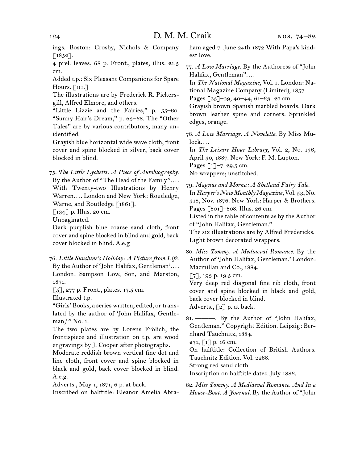ings. Boston: Crosby, Nichols & Company  $[1852]$ .

4 prel. leaves, 68 p. Front., plates, illus. 21.5 cm.

Added t.p.: Six Pleasant Companions for Spare Hours.  $[III.]$ 

The illustrations are by Frederick R. Pickersgill, Alfred Elmore, and others.

"Little Lizzie and the Fairies," p. 55–60. "Sunny Hair's Dream," p. 63–68. The "Other Tales" are by various contributors, many unidentified.

Grayish blue horizontal wide wave cloth, front cover and spine blocked in silver, back cover blocked in blind.

75.  *The Little Lychetts: A Piece of Autobiography.* By the Author of "The Head of the Family"*. . . .* With Twenty-two Illustrations by Henry Warren*. . . .* London and New York: Routledge, Warne, and Routledge [1861].

[134] p. Illus. 20 cm.

Unpaginated.

Dark purplish blue coarse sand cloth, front cover and spine blocked in blind and gold, back cover blocked in blind. A.e.g

76.  *Little Sunshine's Holiday: A Picture from Life.* By the Author of 'John Halifax, Gentleman'*. . . .* London: Sampson Low, Son, and Marston, 1871.

 $\lbrack 5 \rbrack, 277$  p. Front., plates. 17.5 cm.

Illustrated t.p.

"Girls' Books, a series written, edited, or translated by the author of 'John Halifax, Gentleman," No. 1.

The two plates are by Lorens Frölich; the frontispiece and illustration on t.p. are wood engravings by J. Cooper after photographs.

Moderate reddish brown vertical fine dot and line cloth, front cover and spine blocked in black and gold, back cover blocked in blind. A.e.g.

Adverts., May 1, 1871, 6 p. at back.

Inscribed on halftitle: Eleanor Amelia Abra-

ham aged 7. June 24th 1872 With Papa's kindest love.

77.  *A Low Marriage.* By the Authoress of "John Halifax, Gentleman"*. . . .*

In *The National Magazine,* Vol. i. London: National Magazine Company (Limited), 1857. Pages [25]-29, 40-44, 61-63. 27 cm.

Grayish brown Spanish marbled boards. Dark brown leather spine and corners. Sprinkled edges, orange.

78.  *A Low Marriage. A Novelette.* By Miss Mulock*. . . .*

In *The Leisure Hour Library,* Vol. 2, No. 136, April 30, 1887. New York: F. M. Lupton. Pages  $\lceil 1 \rceil$ –7. 29.5 cm. No wrappers; unstitched.

79.  *Magnus and Morna: A Shetland Fairy Tale.* In *Harper's New Monthly Magazine,* Vol. 53, No. 318, Nov. 1876. New York: Harper & Brothers. Pages [801]–808. Illus. 26 cm. Listed in the table of contents as by the Author of "John Halifax, Gentleman."

The six illustrations are by Alfred Fredericks. Light brown decorated wrappers.

80. *Miss Tommy. A Mediaeval Romance.* By the Author of 'John Halifax, Gentleman.' London: Macmillan and Co., 1884.

[7], 193 p. 19.5 cm.

Very deep red diagonal fine rib cloth, front cover and spine blocked in black and gold, back cover blocked in blind.

Adverts.,  $\lceil 2 \rceil$  p. at back.

81.  ———. By the Author of "John Halifax, Gentleman." Copyright Edition. Leipzig: Bernhard Tauchnitz, 1884.

 $271, 17$  p. 16 cm.

On halftitle: Collection of British Authors.

Tauchnitz Edition. Vol. 2288.

Strong red sand cloth.

Inscription on halftitle dated July 1886.

82.  *Miss Tommy. A Mediaeval Romance. And In a House-Boat. A Journal.* By the Author of "John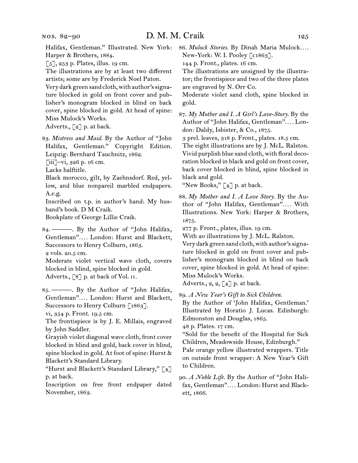[5], 253 p. Plates, illus. 19 cm.

The illustrations are by at least two different artists; some are by Frederick Noel Paton.

Very dark green sand cloth, with author's signature blocked in gold on front cover and publisher's monogram blocked in blind on back cover, spine blocked in gold. At head of spine: Miss Mulock's Works.

Adverts., [2] p. at back.

83.  *Mistress and Maid.* By the Author of "John Halifax, Gentleman." Copyright Edition. Leipzig: Bernhard Tauchnitz, 1862.

 $\lceil$ iii]–vi, 326 p. 16 cm.

Lacks halftitle.

Black morocco, gilt, by Zaehnsdorf. Red, yellow, and blue nonpareil marbled endpapers. A.e.g.

Inscribed on t.p. in author's hand: My husband's book. D M Craik.

Bookplate of George Lillie Craik.

84.  ———. By the Author of "John Halifax, Gentleman"*. . . .* London: Hurst and Blackett, Successors to Henry Colburn, 1863. 2 vols. 20.5 cm.

Moderate violet vertical wave cloth, covers blocked in blind, spine blocked in gold. Adverts., [8] p. at back of Vol. II.

85.  ———. By the Author of "John Halifax, Gentleman"*. . . .* London: Hurst and Blackett, Successors to Henry Colburn [1863].

vi, 354 p. Front. 19.5 cm.

The frontispiece is by J. E. Millais, engraved by John Saddler.

Grayish violet diagonal wave cloth, front cover blocked in blind and gold, back cover in blind, spine blocked in gold. At foot of spine: Hurst & Blackett's Standard Library.

"Hurst and Blackett's Standard Library," [4] p. at back.

Inscription on free front endpaper dated November, 1863.

New-York: W. I. Pooley [c1863].

144 p. Front., plates. 16 cm.

The illustrations are unsigned by the illustrator; the frontispiece and two of the three plates are engraved by N. Orr Co.

Moderate violet sand cloth, spine blocked in gold.

87.  *My Mother and I. A Girl's Love-Story.* By the Author of "John Halifax, Gentleman"*. . . .* London: Daldy, Isbister, & Co., 1875.

3 prel. leaves, 318 p. Front., plates. 18.5 cm.

The eight illustrations are by J. McL. Ralston. Vivid purplish blue sand cloth, with floral decoration blocked in black and gold on front cover, back cover blocked in blind, spine blocked in black and gold.

"New Books," [4] p. at back.

88.  *My Mother and I. A Love Story.* By the Author of "John Halifax, Gentleman"*. . . .* With Illustrations. New York: Harper & Brothers, 1875.

277 p. Front., plates, illus. 19 cm.

With 20 illustrations by J. McL. Ralston.

Very dark green sand cloth, with author's signature blocked in gold on front cover and publisher's monogram blocked in blind on back cover, spine blocked in gold. At head of spine: Miss Mulock's Works.

Adverts.,  $2, 2, \lceil 4 \rceil$  p. at back.

89.  *A New Year's Gift to Sick Children.*

By the Author of 'John Halifax, Gentleman.' Illustrated by Horatio J. Lucas. Edinburgh: Edmonston and Douglas, 1865.

48 p. Plates. 17 cm.

"Sold for the benefit of the Hospital for Sick Children, Meadowside House, Edinburgh."

Pale orange yellow illustrated wrappers. Title on outside front wrapper: A New Year's Gift to Children.

90.  *A Noble Life.* By the Author of "John Halifax, Gentleman"*. . . .* London: Hurst and Blackett, 1866.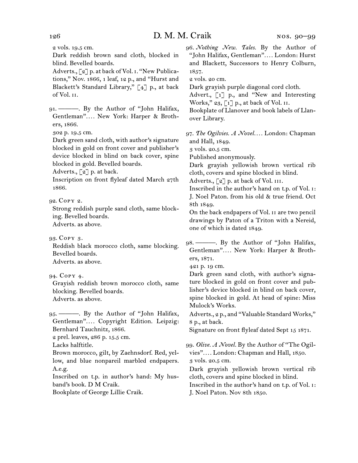2 vols. 19.5 cm.

Dark reddish brown sand cloth, blocked in blind. Bevelled boards.

Adverts., [2] p. at back of Vol. i. "New Publications," Nov. 1866, 1 leaf, 12 p., and "Hurst and Blackett's Standard Library," [4] p., at back of Vol. ii.

91.  ———. By the Author of "John Halifax, Gentleman"*. . . .* New York: Harper & Brothers, 1866.

302 p. 19.5 cm.

Dark green sand cloth, with author's signature blocked in gold on front cover and publisher's device blocked in blind on back cover, spine blocked in gold. Bevelled boards.

Adverts., [2] p. at back.

Inscription on front flyleaf dated March 27th 1866.

92.  Copy 2.

Strong reddish purple sand cloth, same blocking. Bevelled boards. Adverts. as above.

93.  Copy 3.

Reddish black morocco cloth, same blocking. Bevelled boards. Adverts. as above.

94.  Copy 4.

Grayish reddish brown morocco cloth, same blocking. Bevelled boards. Adverts. as above.

95.  ———. By the Author of "John Halifax, Gentleman"*. . . .* Copyright Edition. Leipzig: Bernhard Tauchnitz, 1866.

2 prel. leaves, 286 p. 15.5 cm.

Lacks halftitle.

Brown morocco, gilt, by Zaehnsdorf. Red, yellow, and blue nonpareil marbled endpapers. A.e.g.

Inscribed on t.p. in author's hand: My husband's book. D M Craik.

Bookplate of George Lillie Craik.

96.  *Nothing New. Tales.* By the Author of "John Halifax, Gentleman"*. . . .* London: Hurst and Blackett, Successors to Henry Colburn, 1857.

2 vols. 20 cm.

Dark grayish purple diagonal cord cloth.

Advert., [1] p., and "New and Interesting Works," 23, [1] p., at back of Vol. II.

Bookplate of Llanover and book labels of Llanover Library.

97.  *The Ogilvies. A Novel. . . .* London: Chapman and Hall, 1849.

3 vols. 20.5 cm.

Published anonymously.

Dark grayish yellowish brown vertical rib cloth, covers and spine blocked in blind.

Adverts.,  $\lceil 2 \rceil$  p. at back of Vol. III.

Inscribed in the author's hand on t.p. of Vol. i: J. Noel Paton. from his old & true friend. Oct 8th 1849.

On the back endpapers of Vol. ii are two pencil drawings by Paton of a Triton with a Nereid, one of which is dated 1849.

98.  ———. By the Author of "John Halifax, Gentleman"*. . . .* New York: Harper & Brothers, 1871.

421 p. 19 cm.

Dark green sand cloth, with author's signature blocked in gold on front cover and publisher's device blocked in blind on back cover, spine blocked in gold. At head of spine: Miss Mulock's Works.

Adverts., 2 p., and "Valuable Standard Works," 8 p., at back.

Signature on front flyleaf dated Sept 15 1871.

99.  *Olive. A Novel.* By the Author of "The Ogilvies"*. . . .* London: Chapman and Hall, 1850. 3 vols. 20.5 cm.

Dark grayish yellowish brown vertical rib cloth, covers and spine blocked in blind.

Inscribed in the author's hand on t.p. of Vol. i: J. Noel Paton. Nov 8th 1850.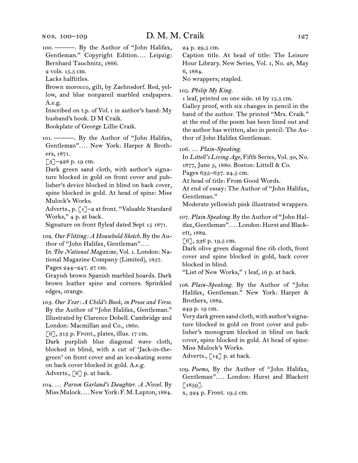100.  ———. By the Author of "John Halifax, Gentleman." Copyright Edition.... Leipzig: Bernhard Tauchnitz, 1866.

2 vols. 15.5 cm.

Lacks halftitles.

Brown morocco, gilt, by Zaehnsdorf. Red, yellow, and blue nonpareil marbled endpapers. A.e.g.

Inscribed on t.p. of Vol. i in author's hand: My husband's book. D M Craik.

Bookplate of George Lillie Craik.

101.  ———. By the Author of "John Halifax, Gentleman"*. . . .* New York: Harper & Brothers, 1871.

[3]-428 p. 19 cm.

Dark green sand cloth, with author's signature blocked in gold on front cover and publisher's device blocked in blind on back cover, spine blocked in gold. At head of spine: Miss Mulock's Works.

Adverts., p. [1]–2 at front. "Valuable Standard Works," 4 p. at back.

Signature on front flyleaf dated Sept 15 1871.

102.  *Our Flitting: A Household Sketch.* By the Author of "John Halifax, Gentleman"*. . . .*

In *The National Magazine,* Vol. i. London: National Magazine Company (Limited), 1857.

Pages 244–247. 27 cm.

Grayish brown Spanish marbled boards. Dark brown leather spine and corners. Sprinkled edges, orange.

103.  *Our Year: A Child's Book, in Prose and Verse.* By the Author of "John Halifax, Gentleman." Illustrated by Clarence Dobell. Cambridge and London: Macmillan and Co., 1860.

[6], 313 p. Front., plates, illus. 17 cm.

Dark purplish blue diagonal wave cloth, blocked in blind, with a cut of 'Jack-in-thegreen' on front cover and an ice-skating scene on back cover blocked in gold. A.e.g. Adverts., [6] p. at back.

104.  … *Parson Garland's Daughter. A Novel.* By Miss Mulock*. . . .* New York:F. M. Lupton, 1884. 24 p. 29.5 cm.

Caption title. At head of title: The Leisure Hour Library. New Series, Vol. 1, No. 28, May 6, 1884.

No wrappers; stapled.

105.  *Philip My King.*

1 leaf, printed on one side. 16 by 15.5 cm.

Galley proof, with six changes in pencil in the hand of the author. The printed "Mrs. Craik." at the end of the poem has been lined out and the author has written, also in pencil: The Author of John Halifax Gentleman.

106.  … *Plain-Speaking.*

In *Littell's Living Age,* Fifth Series, Vol. 30, No. 1877, June 5, 1880. Boston: Littell & Co.

Pages 635–637. 24.5 cm.

At head of title: From Good Words.

At end of essay: The Author of "John Halifax, Gentleman."

Moderate yellowish pink illustrated wrappers.

107.  *Plain Speaking.* By the Author of "John Halifax, Gentleman"*. . . .* London: Hurst and Blackett, 1882.

[6], 336 p. 19.5 cm.

Dark olive green diagonal fine rib cloth, front cover and spine blocked in gold, back cover blocked in blind.

"List of New Works," 1 leaf, 16 p. at back.

108.  *Plain-Speaking.* By the Author of "John Halifax, Gentleman." New York: Harper & Brothers, 1882.

249 p. 19 cm.

Very dark green sand cloth, with author's signature blocked in gold on front cover and publisher's monogram blocked in blind on back cover, spine blocked in gold. At head of spine: Miss Mulock's Works.

Adverts.,  $\lceil 14 \rceil$  p. at back.

109.  *Poems*, By the Author of "John Halifax, Gentleman"*. . . .* London: Hurst and Blackett  $[1859]$ .

x, 324 p. Front. 19.5 cm.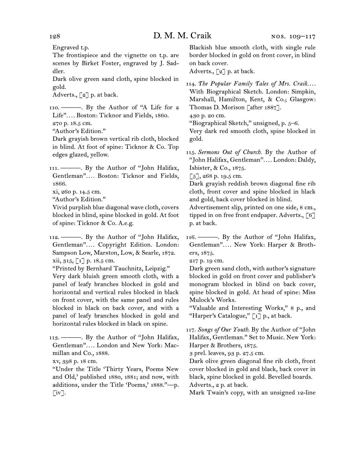Engraved t.p.

The frontispiece and the vignette on t.p. are scenes by Birket Foster, engraved by J. Saddler.

Dark olive green sand cloth, spine blocked in gold.

Adverts., [2] p. at back.

110.  $\longrightarrow$  By the Author of "A Life for a Life"*. . . .* Boston: Ticknor and Fields, 1860.

270 p. 18.5 cm. "Author's Edition."

Dark grayish brown vertical rib cloth, blocked in blind. At foot of spine: Ticknor & Co. Top edges glazed, yellow.

111.  ———. By the Author of "John Halifax, Gentleman"*. . . .* Boston: Ticknor and Fields, 1866.

xi, 260 p. 14.5 cm.

"Author's Edition."

Vivid purplish blue diagonal wave cloth, covers blocked in blind, spine blocked in gold. At foot of spine: Ticknor & Co. A.e.g.

112.  ———. By the Author of "John Halifax, Gentleman"*. . . .* Copyright Edition. London: Sampson Low, Marston, Low, & Searle, 1872. xii, 315, [1] p. 18.5 cm.

"Printed by Bernhard Tauchnitz, Leipzig." Very dark bluish green smooth cloth, with a panel of leafy branches blocked in gold and horizontal and vertical rules blocked in black on front cover, with the same panel and rules blocked in black on back cover, and with a panel of leafy branches blocked in gold and horizontal rules blocked in black on spine.

113.  ———. By the Author of "John Halifax, Gentleman"*. . . .* London and New York: Macmillan and Co., 1888.

xv, 398 p. 18 cm.

"Under the Title 'Thirty Years, Poems New and Old,' published 1880, 1881; and now, with additions, under the Title 'Poems,' 1888."—p.  $\lceil$ iv].

Blackish blue smooth cloth, with single rule border blocked in gold on front cover, in blind on back cover.

Adverts., [2] p. at back.

114.  *The Popular Family Tales of Mrs. Craik. . . .* With Biographical Sketch. London: Simpkin, Marshall, Hamilton, Kent, & Co.; Glasgow: Thomas D. Morison [after 1887].

430 p. 20 cm.

"Biographical Sketch," unsigned, p. 5–6.

Very dark red smooth cloth, spine blocked in gold.

115.  *Sermons Out of Church.* By the Author of "John Halifax, Gentleman"*. . . .* London: Daldy, Isbister, & Co., 1875.

 $[5]$ , 268 p. 19.5 cm.

Dark grayish reddish brown diagonal fine rib cloth, front cover and spine blocked in black and gold, back cover blocked in blind.

Advertisement slip, printed on one side, 8 cm., tipped in on free front endpaper. Adverts., [6] p. at back.

116. ———. By the Author of "John Halifax, Gentleman"*. . . .* New York: Harper & Brothers, 1875.

217 p. 19 cm.

Dark green sand cloth, with author's signature blocked in gold on front cover and publisher's monogram blocked in blind on back cover, spine blocked in gold. At head of spine: Miss Mulock's Works.

"Valuable and Interesting Works," 8 p., and "Harper's Catalogue,"  $\lceil 1 \rceil$  p., at back.

117.  *Songs of Our Youth.* By the Author of "John Halifax, Gentleman." Set to Music. New York: Harper & Brothers, 1875.

3 prel. leaves, 93 p. 27.5 cm.

Dark olive green diagonal fine rib cloth, front cover blocked in gold and black, back cover in black, spine blocked in gold. Bevelled boards. Adverts., 2 p. at back.

Mark Twain's copy, with an unsigned 12-line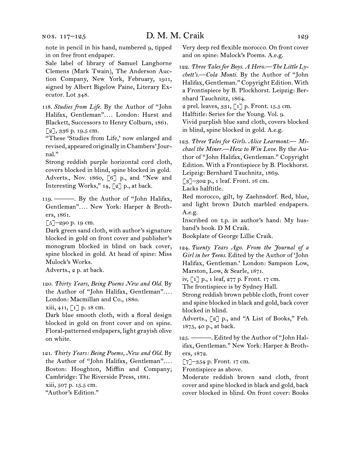note in pencil in his hand, numbered 9, tipped in on free front endpaper.

Sale label of library of Samuel Langhorne Clemens (Mark Twain), The Anderson Auction Company, New York, February, 1911, signed by Albert Bigelow Paine, Literary Executor. Lot 348.

118.  *Studies from Life.* By the Author of "John Halifax, Gentleman"*. . . .* London: Hurst and Blackett, Successors to Henry Colburn, 1861. [2], 336 p. 19.5 cm.

"These 'Studies from Life,' now enlarged and revised, appeared originally inChambers'Journal."

Strong reddish purple horizontal cord cloth, covers blocked in blind, spine blocked in gold. Adverts., Nov. 1860, [6] p., and "New and Interesting Works," 14, [2] p., at back.

119. ----- By the Author of "John Halifax, Gentleman"*. . . .* New York: Harper & Brothers, 1861.

 $\lceil 5 \rceil$ –290 p. 19 cm.

Dark green sand cloth, with author's signature blocked in gold on front cover and publisher's monogram blocked in blind on back cover, spine blocked in gold. At head of spine: Miss Mulock's Works.

Adverts., 2 p. at back.

120.  *Thirty Years, Being Poems New and Old.* By the Author of "John Halifax, Gentleman"*. . . .* London: Macmillan and Co., 1880.

xiii, 411, [1] p. 18 cm.

Dark blue smooth cloth, with a floral design blocked in gold on front cover and on spine. Floral-patterned endpapers, light grayish olive on white.

121.  *Thirty Years: Being Poems, New and Old.* By the Author of "John Halifax, Gentleman"*. . . .* Boston: Houghton, Mifflin and Company; Cambridge: The Riverside Press, 1881. xiii, 507 p. 15.5 cm. "Author's Edition."

Very deep red flexible morocco. On front cover and on spine: Mulock's Poems. A.e.g.

122.  *Three Tales for Boys. A Hero.—The Little Lychett's.—Cola Monti.* By the Author of "John Halifax, Gentleman." Copyright Edition. With a Frontispiece by B. Plockhorst. Leipzig: Bernhard Tauchnitz, 1864.

2 prel. leaves,  $331, 17$  p. Front.  $15.5$  cm.

Halftitle: Series for the Young. Vol. 9.

Vivid purplish blue sand cloth, covers blocked in blind, spine blocked in gold. A.e.g.

123.  *Three Tales for Girls. Alice Learmont.— Michael the Miner.—How to Win Love.* By the Author of "John Halifax, Gentleman." Copyright Edition. With a Frontispiece by B. Plockhorst.

Leipzig: Bernhard Tauchnitz, 1869.

[3]-302 p., 1 leaf. Front. 16 cm.

Lacks halftitle.

Red morocco, gilt, by Zaehnsdorf. Red, blue, and light brown Dutch marbled endpapers. A.e.g.

Inscribed on t.p. in author's hand: My husband's book. D M Craik.

Bookplate of George Lillie Craik.

124.  *Twenty Years Ago. From the Journal of a Girl in her Teens.* Edited by the Author of 'John Halifax, Gentleman.' London: Sampson Low, Marston, Low, & Searle, 1871.

iv, [1] p., 1 leaf, 277 p. Front. 17 cm.

The frontispiece is by Sydney Hall.

Strong reddish brown pebble cloth, front cover and spine blocked in black and gold, back cover blocked in blind.

Adverts., [2] p., and "A List of Books," Feb. 1875, 40 p., at back.

125.  ———. Edited by the Author of "John Halifax, Gentleman." New York: Harper & Brothers, 1872.

 $[7]$ –354 p. Front. 17 cm.

Frontispiece as above.

Moderate reddish brown sand cloth, front cover and spine blocked in black and gold, back cover blocked in blind. On front cover: Books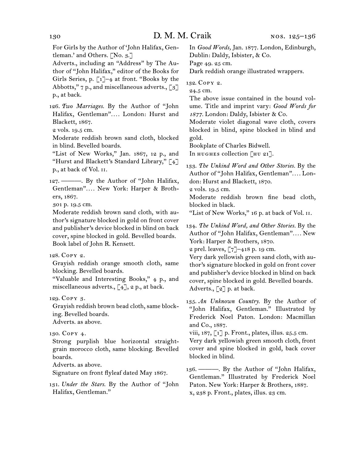For Girls by the Author of 'John Halifax, Gentleman.' and Others. [No. 3.]

Adverts., including an "Address" by The Author of "John Halifax," editor of the Books for Girls Series, p.  $\lceil 1 \rceil$ -4 at front. "Books by the Abbotts,"  $7 p$ , and miscellaneous adverts., [3] p., at back.

126.  *Two Marriages.* By the Author of "John Halifax, Gentleman"*. . . .* London: Hurst and Blackett, 1867.

2 vols. 19.5 cm.

Moderate reddish brown sand cloth, blocked in blind. Bevelled boards.

"List of New Works," Jan. 1867, 12 p., and "Hurst and Blackett's Standard Library," [4] p., at back of Vol. ii.

127.  ———. By the Author of "John Halifax, Gentleman"*. . . .* New York: Harper & Brothers, 1867.

301 p. 19.5 cm.

Moderate reddish brown sand cloth, with author's signature blocked in gold on front cover and publisher's device blocked in blind on back cover, spine blocked in gold. Bevelled boards. Book label of John R. Kensett.

128.  Copy 2.

Grayish reddish orange smooth cloth, same blocking. Bevelled boards.

"Valuable and Interesting Books," 4 p., and miscellaneous adverts.,  $\lceil 4 \rceil$ ,  $2$  p., at back.

129.  Copy 3.

Grayish reddish brown bead cloth, same blocking. Bevelled boards.

Adverts. as above.

130.  Copy 4.

Strong purplish blue horizontal straightgrain morocco cloth, same blocking. Bevelled boards.

Adverts. as above.

Signature on front flyleaf dated May 1867.

131.  *Under the Stars.* By the Author of "John Halifax, Gentleman."

In *Good Words,* Jan. 1877. London, Edinburgh, Dublin: Daldy, Isbister, & Co.

Page 49. 25 cm.

Dark reddish orange illustrated wrappers.

132.  Copy 2.

24.5 cm.

The above issue contained in the bound volume. Title and imprint vary: *Good Words for 1877.* London: Daldy, Isbister & Co.

Moderate violet diagonal wave cloth, covers blocked in blind, spine blocked in blind and gold.

Bookplate of Charles Bidwell.

In HUGHES collection [HU 21].

133.  *The Unkind Word and Other Stories.* By the Author of "John Halifax, Gentleman"*. . . .* London: Hurst and Blackett, 1870.

2 vols. 19.5 cm.

Moderate reddish brown fine bead cloth, blocked in black.

"List of New Works," 16 p. at back of Vol. II.

134.  *The Unkind Word, and Other Stories.* By the Author of "John Halifax, Gentleman"*. . . .* New York: Harper & Brothers, 1870.

2 prel. leaves,  $\lceil 7 \rceil$ -418 p. 19 cm.

Very dark yellowish green sand cloth, with author's signature blocked in gold on front cover and publisher's device blocked in blind on back cover, spine blocked in gold. Bevelled boards. Adverts., [2] p. at back.

135.  *An Unknown Country.* By the Author of "John Halifax, Gentleman." Illustrated by Frederick Noel Paton. London: Macmillan and Co., 1887.

viii, 187, [1] p. Front., plates, illus. 25.5 cm.

Very dark yellowish green smooth cloth, front cover and spine blocked in gold, back cover blocked in blind.

136.  ———. By the Author of "John Halifax, Gentleman." Illustrated by Frederick Noel Paton. New York: Harper & Brothers, 1887. x, 238 p. Front., plates, illus. 23 cm.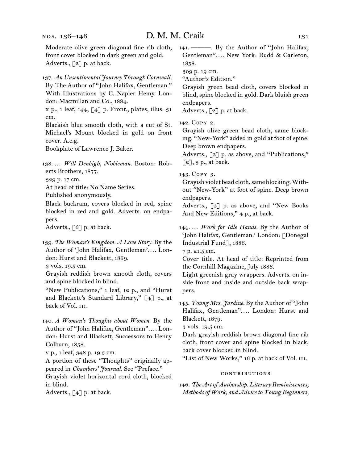Moderate olive green diagonal fine rib cloth, front cover blocked in dark green and gold. Adverts., [2] p. at back.

137.  *An Unsentimental Journey Through Cornwall.* By The Author of "John Halifax, Gentleman." With Illustrations by C. Napier Hemy. London: Macmillan and Co., 1884.

x p., 1 leaf, 144, [4] p. Front., plates, illus. 31 cm.

Blackish blue smooth cloth, with a cut of St. Michael's Mount blocked in gold on front cover. A.e.g.

Bookplate of Lawrence J. Baker.

138.  … *Will Denbigh, Nobleman.* Boston: Roberts Brothers, 1877.

329 p. 17 cm.

At head of title: No Name Series.

Published anonymously.

Black buckram, covers blocked in red, spine blocked in red and gold. Adverts. on endpapers.

Adverts., [6] p. at back.

139.  *The Woman's Kingdom. A Love Story.* By the Author of 'John Halifax, Gentleman'*. . . .* London: Hurst and Blackett, 1869.

3 vols. 19.5 cm.

Grayish reddish brown smooth cloth, covers and spine blocked in blind.

"New Publications," 1 leaf, 12 p., and "Hurst and Blackett's Standard Library," [4] p., at back of Vol. III.

140.  *A Woman's Thoughts about Women.* By the Author of "John Halifax, Gentleman"*. . . .* London: Hurst and Blackett, Successors to Henry Colburn, 1858.

v p., 1 leaf, 348 p. 19.5 cm.

A portion of these "Thoughts" originally appeared in *Chambers' Journal.* See "Preface." Grayish violet horizontal cord cloth, blocked

in blind.

Adverts.,  $\begin{bmatrix} 4 \end{bmatrix}$  p. at back.

141.  ———. By the Author of "John Halifax, Gentleman"*. . . .* New York: Rudd & Carleton, 1858.

309 p. 19 cm.

"Author's Edition."

Grayish green bead cloth, covers blocked in blind, spine blocked in gold. Dark bluish green endpapers.

Adverts., [2] p. at back.

142.  Copy 2.

Grayish olive green bead cloth, same blocking. "New-York" added in gold at foot of spine. Deep brown endpapers.

Adverts., [2] p. as above, and "Publications,"  $\lceil 2 \rceil$ , 5 p., at back.

143.  Copy 3.

Grayish violet bead cloth,same blocking.Without "New-York" at foot of spine. Deep brown endpapers.

Adverts., [2] p. as above, and "New Books And New Editions," 4 p., at back.

144.  … *Work for Idle Hands.* By the Author of 'John Halifax, Gentleman.' London: [Donegal Industrial Fund], 1886.

7 p. 21.5 cm.

Cover title. At head of title: Reprinted from the Cornhill Magazine, July 1886.

Light greenish gray wrappers. Adverts. on inside front and inside and outside back wrappers.

145.  *Young Mrs. Jardine.* By the Author of "John Halifax, Gentleman"*. . . .* London: Hurst and Blackett, 1879.

3 vols. 19.5 cm.

Dark grayish reddish brown diagonal fine rib cloth, front cover and spine blocked in black, back cover blocked in blind.

"List of New Works," 16 p. at back of Vol. III.

#### contributions

146.  *The Art of Authorship. Literary Reminiscences, Methods of Work, and Advice to Young Beginners,*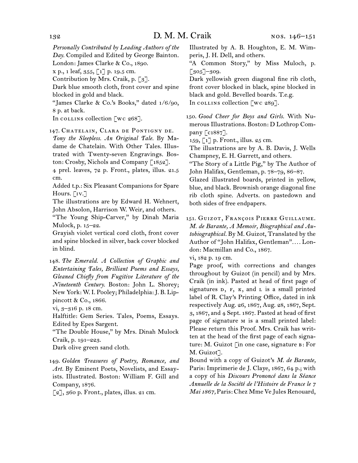*Personally Contributed by Leading Authors of the Day.* Compiled and Edited by George Bainton. London: James Clarke & Co., 1890.

x p., 1 leaf, 355, [1] p. 19.5 cm.

Contribution by Mrs. Craik, p.  $\lceil 3 \rceil$ .

Dark blue smooth cloth, front cover and spine blocked in gold and black.

"James Clarke & Co.'s Books," dated 1/6/90, 8 p. at back.

In collins collection [wc 268].

147.  Chatelain, Clara de Pontigny de.

*Tony the Sleepless. An Original Tale.* By Madame de Chatelain. With Other Tales. Illustrated with Twenty-seven Engravings. Boston: Crosby, Nichols and Company [1852].

4 prel. leaves, 72 p. Front., plates, illus. 21.5 cm.

Added t.p.: Six Pleasant Companions for Spare Hours. [IV.]

The illustrations are by Edward H. Wehnert, John Absolon, Harrison W. Weir, and others.

"The Young Ship-Carver," by Dinah Maria Mulock, p. 15–22.

Grayish violet vertical cord cloth, front cover and spine blocked in silver, back cover blocked in blind.

148.  *The Emerald. A Collection of Graphic and Entertaining Tales, Brilliant Poems and Essays, Gleaned Chiefly from Fugitive Literature of the Nineteenth Century.* Boston: John L. Shorey; New York: W.I. Pooley; Philadelphia:J. B. Lippincott & Co., 1866.

vi, 3–316 p. 18 cm.

Halftitle: Gem Series. Tales, Poems, Essays. Edited by Epes Sargent.

"The Double House," by Mrs. Dinah Mulock Craik, p. 191–223.

Dark olive green sand cloth.

149.  *Golden Treasures of Poetry, Romance, and Art.* By Eminent Poets, Novelists, and Essayists. Illustrated. Boston: William F. Gill and Company, 1876.

[2], 360 p. Front., plates, illus. 21 cm.

Illustrated by A. B. Houghton, E. M. Wimperis, J. H. Dell, and others.

"A Common Story," by Miss Muloch, p. [305]–309.

Dark yellowish green diagonal fine rib cloth, front cover blocked in black, spine blocked in black and gold. Bevelled boards. T.e.g. In collection [wc 289].

150.  *Good Cheer for Boys and Girls.* With Numerous Illustrations. Boston: D Lothrop Company [c1887].

159, [1] p. Front., illus. 25 cm.

The illustrations are by A. B. Davis, J. Wells Champney, E. H. Garrett, and others.

"The Story of a Little Pig," by The Author of John Halifax, Gentleman, p. 78–79, 86–87.

Glazed illustrated boards, printed in yellow, blue, and black. Brownish orange diagonal fine rib cloth spine. Adverts. on pastedown and both sides of free endpapers.

151.  Guizot, François Pierre Guillaume. *M. de Barante, A Memoir, Biographical and Autobiographical.* By M. Guizot, Translated by the Author of "John Halifax, Gentleman"*. . . .* London: Macmillan and Co., 1867.

vi, 182 p. 19 cm.

Page proof, with corrections and changes throughout by Guizot (in pencil) and by Mrs. Craik (in ink). Pasted at head of first page of signatures  $D$ ,  $F$ ,  $K$ , and  $L$  is a small printed label of R. Clay's Printing Office, dated in ink respectively Aug. 26, 1867, Aug. 28, 1867, Sept. 3, 1867, and 4 Sept. 1867. Pasted at head of first page of signature m is a small printed label: Please return this Proof. Mrs. Craik has written at the head of the first page of each signature: M. Guizot [in one case, signature b: For M. Guizot<sup>7</sup>.

Bound with a copy of Guizot's *M. de Barante,* Paris: Imprimerie de J. Claye, 1867, 64 p.; with a copy of his *Discours Prononcé dans la Séance Annuelle de la Société de l'Histoire de France le 7 Mai 1867,* Paris: Chez Mme Ve Jules Renouard,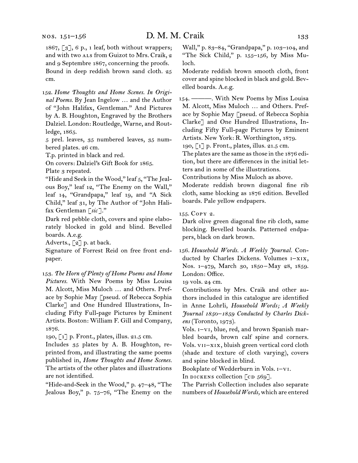1867, [3], 6 p., 1 leaf, both without wrappers; and with two ALS from Guizot to Mrs. Craik, 2 and 9 Septembre 1867, concerning the proofs. Bound in deep reddish brown sand cloth. 25 cm.

152.  *Home Thoughts and Home Scenes. In Original Poems.* By Jean Ingelow … and the Author of "John Halifax, Gentleman." And Pictures by A. B. Houghton, Engraved by the Brothers Dalziel. London: Routledge, Warne, and Routledge, 1865.

5 prel. leaves, 35 numbered leaves, 35 numbered plates. 26 cm.

T.p. printed in black and red.

On covers: Dalziel's Gift Book for 1865.

Plate 3 repeated.

"Hide and Seek in the Wood," leaf 5, "The Jealous Boy," leaf 12, "The Enemy on the Wall," leaf 14, "Grandpapa," leaf 19, and "A Sick Child," leaf 31, by The Author of "John Halifax Gentleman [*sic* ]."

Dark red pebble cloth, covers and spine elaborately blocked in gold and blind. Bevelled boards. A.e.g.

Adverts., [2] p. at back.

Signature of Forrest Reid on free front endpaper.

153.  *The Horn of Plenty of Home Poems and Home Pictures.* With New Poems by Miss Louisa M. Alcott, Miss Muloch … and Others. Preface by Sophie May [pseud. of Rebecca Sophia Clarke] and One Hundred Illustrations, Including Fifty Full-page Pictures by Eminent Artists. Boston: William F. Gill and Company, 1876.

190, [1] p. Front., plates, illus. 21.5 cm.

Includes 35 plates by A. B. Houghton, reprinted from, and illustrating the same poems published in, *Home Thoughts and Home Scenes.*  The artists of the other plates and illustrations are not identified.

"Hide-and-Seek in the Wood," p. 47–48, "The Jealous Boy," p. 75–76, "The Enemy on the

Wall," p. 83–84, "Grandpapa," p. 103–104, and "The Sick Child," p. 155–156, by Miss Muloch.

Moderate reddish brown smooth cloth, front cover and spine blocked in black and gold. Bevelled boards. A.e.g.

154.  ———. With New Poems by Miss Louisa M. Alcott, Miss Muloch … and Others. Preface by Sophie May [pseud. of Rebecca Sophia Clarke] and One Hundred Illustrations, Including Fifty Full-page Pictures by Eminent Artists. New York: R. Worthington, 1879.

190, [1] p. Front., plates, illus. 21.5 cm.

The plates are the same as those in the 1876 edition, but there are differences in the initial letters and in some of the illustrations.

Contributions by Miss Muloch as above.

Moderate reddish brown diagonal fine rib cloth, same blocking as 1876 edition. Bevelled boards. Pale yellow endpapers.

155.  Copy 2.

Dark olive green diagonal fine rib cloth, same blocking. Bevelled boards. Patterned endpapers, black on dark brown.

156.  *Household Words. A Weekly Journal.* Conducted by Charles Dickens. Volumes i–xix, Nos. 1-479, March 30, 1850-May 28, 1859. London: Office.

19 vols. 24 cm.

Contributions by Mrs. Craik and other authors included in this catalogue are identified in Anne Lohrli, *Household Words; A Weekly Journal 1850–1859 Conducted by Charles Dickens* (Toronto, 1973).

Vols. i–vi, blue, red, and brown Spanish marbled boards, brown calf spine and corners. Vols. vii–xix, bluish green vertical cord cloth (shade and texture of cloth varying), covers and spine blocked in blind.

Bookplate of Wedderburn in Vols. i–vi.

In DICKENS collection  $[CD 569]$ .

The Parrish Collection includes also separate numbers of *Household Words,* which are entered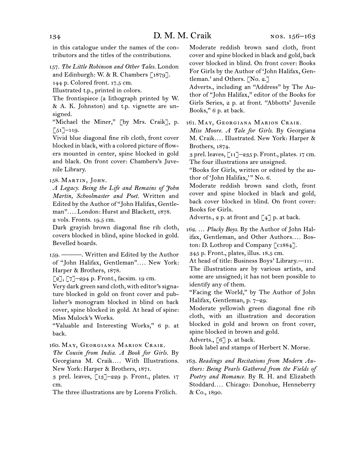in this catalogue under the names of the contributors and the titles of the contributions.

157.  *The Little Robinson and Other Tales.* London and Edinburgh: W. & R. Chambers [1879]. 144 p. Colored front. 17.5 cm.

Illustrated t.p., printed in colors.

The frontispiece (a lithograph printed by W. & A. K. Johnston) and t.p. vignette are unsigned.

"Michael the Miner," [by Mrs. Craik], p.  $\lceil 51 \rceil$ –119.

Vivid blue diagonal fine rib cloth, front cover blocked in black, with a colored picture of flowers mounted in center, spine blocked in gold and black. On front cover: Chambers's Juvenile Library.

## 158.  Martin, John.

*A Legacy. Being the Life and Remains of John Martin, Schoolmaster and Poet.* Written and Edited by the Author of "John Halifax, Gentleman"*. . . .* London: Hurst and Blackett, 1878. 2 vols. Fronts. 19.5 cm.

Dark grayish brown diagonal fine rib cloth, covers blocked in blind, spine blocked in gold. Bevelled boards.

159.  ———. Written and Edited by the Author of "John Halifax, Gentleman"*. . . .* New York: Harper & Brothers, 1878.

 $[2]$ ,  $[7]$ –294 p. Front., facsim. 19 cm.

Very dark green sand cloth, with editor's signature blocked in gold on front cover and publisher's monogram blocked in blind on back cover, spine blocked in gold. At head of spine: Miss Mulock's Works.

"Valuable and Interesting Works," 6 p. at back.

160.  May, Georgiana Marion Craik.

*The Cousin from India. A Book for Girls.* By Georgiana M. Craik*. . . .* With Illustrations. New York: Harper & Brothers, 1871.

3 prel. leaves, [13]–229 p. Front., plates. 17 cm.

The three illustrations are by Lorens Frölich.

Moderate reddish brown sand cloth, front cover and spine blocked in black and gold, back cover blocked in blind. On front cover: Books For Girls by the Author of 'John Halifax, Gentleman.' and Others. [No. 2.]

Adverts., including an "Address" by The Author of "John Halifax," editor of the Books for Girls Series, 2 p. at front. "Abbotts' Juvenile Books," 6 p. at back.

161.  May, Georgiana Marion Craik.

*Miss Moore. A Tale for Girls.* By Georgiana M. Craik*. . . .* Illustrated. New York: Harper & Brothers, 1874.

3 prel. leaves, [11]–235 p. Front., plates. 17 cm. The four illustrations are unsigned.

"Books for Girls, written or edited by the author of 'John Halifax,'" No. 6.

Moderate reddish brown sand cloth, front cover and spine blocked in black and gold, back cover blocked in blind. On front cover: Books for Girls.

Adverts.,  $2$  p. at front and  $\left[\begin{smallmatrix} 4 \end{smallmatrix}\right]$  p. at back.

162.  … *Plucky Boys.* By the Author of John Halifax, Gentleman, and Other Authors.... Boston: D. Lothrop and Company [c1884].

345 p. Front., plates, illus. 18.5 cm.

At head of title: Business Boys' Library.---The illustrations are by various artists, and some are unsigned; it has not been possible to identify any of them.

"Facing the World," by The Author of John Halifax, Gentleman, p. 7–29.

Moderate yellowish green diagonal fine rib cloth, with an illustration and decoration blocked in gold and brown on front cover, spine blocked in brown and gold.

Adverts.,  $\lceil 6 \rceil$  p. at back.

Book label and stamps of Herbert N. Morse.

163.  *Readings and Recitations from Modern Authors: Being Pearls Gathered from the Fields of Poetry and Romance.* By R. H. and Elizabeth Stoddard*. . . .* Chicago: Donohue, Henneberry & Co., 1890.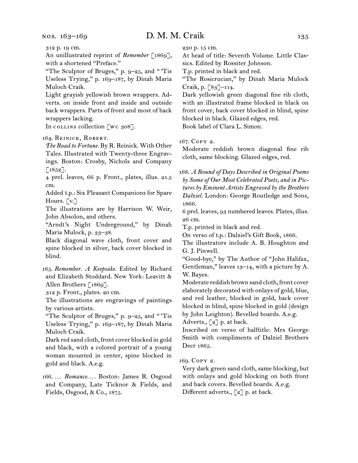312 p. 19 cm.

An unillustrated reprint of *Remember* [1869], with a shortened "Preface."

"The Sculptor of Bruges," p. 9–25, and " 'Tis Useless Trying," p. 169–187, by Dinah Maria Muloch Craik.

Light grayish yellowish brown wrappers. Adverts. on inside front and inside and outside back wrappers. Parts of front and most of back wrappers lacking.

In collection [wc 308].

## 164.  Reinick, Robert.

*The Road to Fortune.* By R. Reinick. With Other Tales. Illustrated with Twenty-three Engravings. Boston: Crosby, Nichols and Company  $\lceil 1852 \rceil$ .

4 prel. leaves, 66 p. Front., plates, illus. 21.5 cm.

Added t.p.: Six Pleasant Companions for Spare Hours. [v.]

The illustrations are by Harrison W. Weir, John Absolon, and others.

"Arndt's Night Underground," by Dinah Maria Mulock, p. 33–38.

Black diagonal wave cloth, front cover and spine blocked in silver, back cover blocked in blind.

165.  *Remember. A Keepsake.* Edited by Richard and Elizabeth Stoddard. New York: Leavitt & Allen Brothers [1869].

312 p. Front., plates. 20 cm.

The illustrations are engravings of paintings by various artists.

"The Sculptor of Bruges," p. 9–25, and " 'Tis Useless Trying," p. 169–187, by Dinah Maria Muloch Craik.

Dark red sand cloth, front cover blocked in gold and black, with a colored portrait of a young woman mounted in center, spine blocked in gold and black. A.e.g.

166.  … *Romance. . . .* Boston: James R. Osgood and Company, Late Ticknor & Fields, and Fields, Osgood, & Co., 1875.

230 p. 15 cm.

At head of title: Seventh Volume. Little Classics. Edited by Rossiter Johnson.

T.p. printed in black and red.

"The Rosicrucian," by Dinah Maria Mulock Craik, p. [83]–114.

Dark yellowish green diagonal fine rib cloth, with an illustrated frame blocked in black on front cover, back cover blocked in blind, spine blocked in black. Glazed edges, red. Book label of Clara L. Simon.

167.  Copy 2.

Moderate reddish brown diagonal fine rib cloth, same blocking. Glazed edges, red.

168.  *A Round of Days Described in Original Poems by Some of Our Most Celebrated Poets, and in Pictures by Eminent Artists Engraved by the Brothers Dalziel.* London: George Routledge and Sons, 1866.

6 prel. leaves, 93 numbered leaves. Plates, illus. 26 cm.

T.p. printed in black and red.

On verso of t.p.: Dalziel's Gift Book, 1866.

The illustrators include A. B. Houghton and G. J. Pinwell.

"Good-bye," by The Author of "John Halifax, Gentleman," leaves 13–14, with a picture by A. W. Bayes.

Moderate reddish brown sand cloth, front cover elaborately decorated with onlays of gold, blue, and red leather, blocked in gold, back cover blocked in blind, spine blocked in gold (design by John Leighton). Bevelled boards. A.e.g.

Adverts.,  $\lceil 2 \rceil$  p. at back.

Inscribed on verso of halftitle: Mrs George Smith with compliments of Dalziel Brothers Decr 1865.

## 169.  Copy 2.

Very dark green sand cloth, same blocking, but with onlays and gold blocking on both front and back covers. Bevelled boards. A.e.g. Different adverts., [2] p. at back.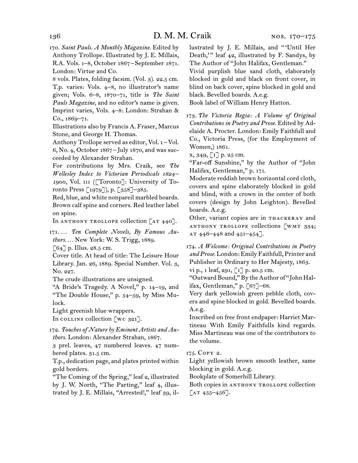170.  *Saint Pauls. A Monthly Magazine.* Edited by Anthony Trollope. Illustrated by J. E. Millais, R.A. Vols. 1–8, October 1867 – September 1871. London: Virtue and Co.

8 vols. Plates, folding facsim. (Vol. 3). 22.5 cm. T.p. varies: Vols. 4–8, no illustrator's name given; Vols. 6–8, 1870–71, title is *The Saint Pauls Magazine,* and no editor's name is given. Imprint varies, Vols. 4–8: London: Strahan & Co., 1869–71.

Illustrations also by Francis A. Fraser, Marcus Stone, and George H. Thomas.

Anthony Trollope served as editor, Vol. 1 – Vol. 6, No. 4, October 1867 – July 1870, and was succeeded by Alexander Strahan.

For contributions by Mrs. Craik, see *The Wellesley Index to Victorian Periodicals 1824 –* 1900, Vol. III ([Toronto]: University of Toronto Press [1979]), p. [358]–385.

Red, blue, and white nonpareil marbled boards. Brown calf spine and corners. Red leather label on spine.

In ANTHONY TROLLOPE collection [AT 440].

171.  … *Ten Complete Novels, By Famous Authors. . . .* New York: W. S. Trigg, 1889. [64] p. Illus. 28.5 cm.

Cover title. At head of title: The Leisure Hour Library. Jan. 26, 1889. Special Number. Vol. 3, No. 227.

The crude illustrations are unsigned.

"A Bride's Tragedy. A Novel," p. 14–19, and "The Double House," p. 54–59, by Miss Mulock.

Light greenish blue wrappers.

In collins collection  $[wc 321]$ .

172.  *Touches of Nature by Eminent Artists and Authors.* London: Alexander Strahan, 1867.

3 prel. leaves, 47 numbered leaves. 47 numbered plates. 31.5 cm.

T.p., dedication page, and plates printed within gold borders.

"The Coming of the Spring," leaf 2, illustrated by J. W. North, "The Parting," leaf 4, illustrated by J. E. Millais, "Arrested!," leaf 39, illustrated by J. E. Millais, and " 'Until Her Death,' " leaf 42, illustrated by F. Sandys, by The Author of "John Halifax, Gentleman."

Vivid purplish blue sand cloth, elaborately blocked in gold and black on front cover, in blind on back cover, spine blocked in gold and black. Bevelled boards. A.e.g.

Book label of William Henry Hatton.

173.  *The Victoria Regia: A Volume of Original Contributions in Poetry and Prose.* Edited by Adelaide A. Procter. London: Emily Faithfull and Co., Victoria Press, (for the Employment of Women,) 1861.

x, 349, [1] p. 25 cm.

"Far-off Sunshine," by the Author of "John Halifax, Gentleman," p. 171.

Moderate reddish brown horizontal cord cloth, covers and spine elaborately blocked in gold and blind, with a crown in the center of both covers (design by John Leighton). Bevelled boards. A.e.g.

Other, variant copies are in THACKERAY and anthony trollope collections [wmt 334; AT  $446 - 448$  and  $451 - 454$ ].

174.  *A Welcome: Original Contributions in Poetry and Prose.* London:Emily Faithfull, Printer and Publisher in Ordinary to Her Majesty, 1863.

vi p., 1 leaf, 291,  $\lceil 1 \rceil$  p. 20.5 cm.

"Outward Bound," By the Author of "John Halifax, Gentleman," p. [67]–68.

Very dark yellowish green pebble cloth, covers and spine blocked in gold. Bevelled boards. A.e.g.

Inscribed on free front endpaper: Harriet Martineau With Emily Faithfulls kind regards. Miss Martineau was one of the contributors to the volume.

175.  Copy 2.

Light yellowish brown smooth leather, same blocking in gold. A.e.g.

Bookplate of Somerhill Library.

Both copies in ANTHONY TROLLOPE collection  $[AT 455-456].$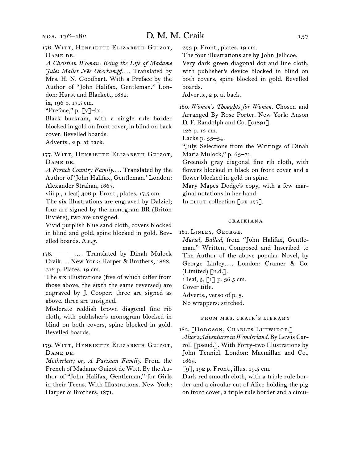# D. M. M. Craik 137

176.  Witt, Henriette Elizabeth Guizot, DAME DE.

*A Christian Woman: Being the Life of Madame Jules Mallet Née Oberkampf. . . .* Translated by Mrs. H. N. Goodhart. With a Preface by the Author of "John Halifax, Gentleman." London: Hurst and Blackett, 1882.

ix, 196 p. 17.5 cm.

"Preface," p. [v]–ix.

Black buckram, with a single rule border blocked in gold on front cover, in blind on back cover. Bevelled boards.

Adverts., 2 p. at back.

177.  Witt, Henriette Elizabeth Guizot, Dame de.

*A French Country Family. . . .* Translated by the Author of 'John Halifax, Gentleman.' London: Alexander Strahan, 1867.

viii p., 1 leaf, 306 p. Front., plates. 17.5 cm.

The six illustrations are engraved by Dalziel; four are signed by the monogram BR (Briton Rivière), two are unsigned.

Vivid purplish blue sand cloth, covers blocked in blind and gold, spine blocked in gold. Bevelled boards. A.e.g.

178.  ———*. . . .* Translated by Dinah Mulock Craik*. . . .* New York: Harper & Brothers, 1868. 216 p. Plates. 19 cm.

The six illustrations (five of which differ from those above, the sixth the same reversed) are engraved by J. Cooper; three are signed as above, three are unsigned.

Moderate reddish brown diagonal fine rib cloth, with publisher's monogram blocked in blind on both covers, spine blocked in gold. Bevelled boards.

179.  Witt, Henriette Elizabeth Guizot, DAME DE.

*Motherless; or, A Parisian Family.* From the French of Madame Guizot de Witt. By the Author of "John Halifax, Gentleman," for Girls in their Teens. With Illustrations. New York: Harper & Brothers, 1871.

253 p. Front., plates. 19 cm.

The four illustrations are by John Jellicoe.

Very dark green diagonal dot and line cloth, with publisher's device blocked in blind on both covers, spine blocked in gold. Bevelled boards.

Adverts., 2 p. at back.

180.  *Women's Thoughts for Women.* Chosen and Arranged By Rose Porter. New York: Anson D. F. Randolph and Co. [c1891].

126 p. 13 cm.

Lacks p. 33–34.

"July. Selections from the Writings of Dinah Maria Mulock," p. 63-71.

Greenish gray diagonal fine rib cloth, with flowers blocked in black on front cover and a flower blocked in gold on spine.

Mary Mapes Dodge's copy, with a few marginal notations in her hand.

In ELIOT collection  $\lceil$  GE 157].

#### craikiana

181.  Linley, George.

*Muriel, Ballad*, from "John Halifax, Gentleman," Written, Composed and Inscribed to The Author of the above popular Novel, by George Linley*. . . .* London: Cramer & Co. (Limited) [n.d.].

1 leaf, 5, [1] p. 36.5 cm.

Cover title.

Adverts., verso of p. 5.

No wrappers; stitched.

## from mrs. craik's library

182.  [Dodgson, Charles Lutwidge.]

*Alice's Adventures in Wonderland.* By Lewis Carroll [pseud.]. With Forty-two Illustrations by John Tenniel. London: Macmillan and Co., 1865.

[9], 192 p. Front., illus. 19.5 cm.

Dark red smooth cloth, with a triple rule border and a circular cut of Alice holding the pig on front cover, a triple rule border and a circu